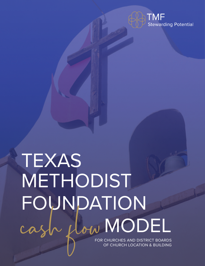

## TEXAS METHODIST FOUNDATION cash plow MODEL

FOR CHURCHES AND DISTRICT BOARDS OF CHURCH LOCATION & BUILDING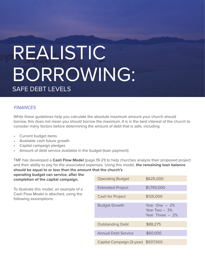### REALISTIC BORROWING: SAFE DEBT LEVELS

#### **FINANCES**

While these guidelines help you calculate the absolute maximum amount your church should borrow, this does not mean you should borrow the maximum. It is in the best interest of the church to consider many factors before determining the amount of debt that is safe, including:

- Current budget items
- Available cash future growth
- Capital campaign pledges
- Amount of debt service available in the budget (loan payment)

TMF has developed a **Cash Flow Model** (page 19-21) to help churches analyze their proposed project and their ability to pay for the associated expenses. Using this model, **the remaining loan balance should be equal to or less than the amount that the church's** 

**operating budget can service, after the completion of the capital campaign.**

To illustrate this model, an example of a Cash Flow Model is attached, using the following assumptions:

| <b>Operating Budget</b>             | \$625,000                                               |
|-------------------------------------|---------------------------------------------------------|
| <b>Estimated Project</b>            | \$1,793,000                                             |
| <b>Cash for Project</b>             | \$125,000                                               |
| <b>Budget Growth</b>                | Year One $-2\%$<br>Year Two $-3\%$<br>Year Three $-2\%$ |
| <b>Outstanding Debt</b>             | \$88,275                                                |
| <b>Annual Debt Service</b>          | \$60,000                                                |
| Capital Campaign (3-year) \$937,500 |                                                         |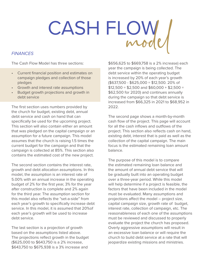# CASH FLOW Mode

#### **FINANCES**

The Cash Flow Model has three sections:

- Current financial position and estimates on campaign pledges and collection of those pledges
- Growth and interest rate assumptions
- Budget growth projections and growth in debt service

The first section uses numbers provided by the church for budget, existing debt, annual debt service and cash on hand that can specifically be used for the upcoming project. This section will also contain either an amount that was pledged on the capital campaign or an assumption for a future campaign. This model assumes that the church is raising 1.5 times the current budget for the campaign and that the campaign is collected at 85%. This section also contains the estimated cost of the new project.

The second section contains the interest rate, growth and debt allocation assumptions. In this model, the assumption is an interest rate of 5.00% with an annual increase in the operating budget of 2% for the first year, 3% for the year after construction is complete and 2% again for the third year. The assumption section for this model also reflects the "set-a-side" from each year's growth to specifically increase debt service. In this model, it is assumed that 20%of each year's growth will be used to increase debt service.

The last section is a projection of growth based on the assumptions listed above. The projections reflect growth in the budget (\$625,000 to \$643,750 is a 2% increase, \$643,750 to \$675,938 is a 3% increase and

\$656,625 to \$669,758 is a 2% increase) each year the campaign is being collected. The debt service within the operating budget is increased by 20% of each year's growth (\$637,500 - \$625,000 = \$12,500. 20% of  $$12,500 = $2,500$  and  $$60,000 + $2,500 =$ \$62,500 for 2020) and continues annually during the campaign so that debt service is increased from \$66,325 in 2021 to \$68,952 in 2022.

The second page shows a month-by-month cash flow of the project. This page will account for all the cash inflows and outflows of the project. This section also reflects cash on hand, existing debt, interest that is paid as well as the collection of the capital campaign. The main focus is the estimated remaining loan amount balance.

The purpose of this model is to compare the estimated remaining loan balance and the amount of annual debt service that will be gradually built into an operating budget over a three-year period. While this model will help determine if a project is feasible, the factors that have been included in the model must be evaluated. Many assumptions and projections affect the model – project size, capital campaign size, growth rate of budget, interest rate, collection of campaign, etc. The reasonableness of each one of the assumptions must be reviewed and discussed to properly evaluate the project the church has proposed. Overly aggressive assumptions will result in an excessive loan balance or will require the church to build debt service at a rate that will jeopardize existing missions and ministries.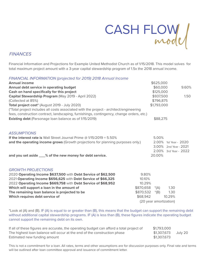

#### **FINANCES**

Financial Information and Projections for Example United Methodist Church as of 1/15/2018. This model solves for total maximum project amount with a 3-year capital stewardship program of 1.5x the 2018 annual income.

#### FINANCIAL INFORMATION (projected for 2019) 2018 Annual Income

| <b>Annual income</b>                                                                     |           | \$625,000              |                                                |  |
|------------------------------------------------------------------------------------------|-----------|------------------------|------------------------------------------------|--|
| Annual debt service in operating budget                                                  |           | \$60,000               | 9.60%                                          |  |
| Cash on hand specifically for this project                                               |           | \$125,000              |                                                |  |
| Capital Stewardship Program (May 2019 - April 2022)                                      |           | \$937,500              | 1.50                                           |  |
| (Collected at 85%)                                                                       |           | \$796,875              |                                                |  |
| Total project cost* (August 2019 - July 2020)                                            |           | \$1,793,000            |                                                |  |
| (*Total project includes all costs associated with the project - architect/engineering   |           |                        |                                                |  |
| fees, construction contract, landscaping, furnishings, contingency, change orders, etc.) |           |                        |                                                |  |
| <b>Existing debt</b> (Parsonage loan balance as of 1/15/2019)                            |           | \$88,275               |                                                |  |
|                                                                                          |           |                        |                                                |  |
| <b>ASSUMPTIONS</b>                                                                       |           |                        |                                                |  |
| If the interest rate is Wall Street Journal Prime $@1/15/2019 = 5.50\%$                  |           | 5.00%                  |                                                |  |
| and the operating income grows (Growth projections for planning purposes only.)          |           |                        | 2.00% 1st Year - 2020<br>3.00% 2nd Year - 2021 |  |
|                                                                                          |           |                        | 2.00% 3rd Year - 2022                          |  |
| and you set aside ___% of the new money for debt service.                                |           | 20.00%                 |                                                |  |
|                                                                                          |           |                        |                                                |  |
| <b>GROWTH PROJECTIONS</b>                                                                |           |                        |                                                |  |
| 2020 Operating Income \$637,500 with Debt Service of \$62,500                            | 9.80%     |                        |                                                |  |
| 2021 Operating Income \$656,625 with Debt Service of \$66,325                            | 10.10%    |                        |                                                |  |
| 2022 Operating Income \$669,758 with Debt Service of \$68,952                            | 10.29%    |                        |                                                |  |
| Which will support a loan in the amount of                                               | \$870,658 | $*(A)$                 | 1.30                                           |  |
| The remaining loan balance is projected to be                                            | \$870,532 | $*(B)$                 | 1.30                                           |  |
| Which requires debt service of                                                           | \$68,942  |                        | 10.29%                                         |  |
|                                                                                          |           | (20 year amortization) |                                                |  |

\*Look at (A) and (B). IF (A) is equal to or greater than (B), this means that the budget can support the remaining debt without additional capital stewardship programs. IF (A) is less than (B), these figures indicate the operating budget cannot support the remaining debt on its own.

| If all of these figures are accurate, the operating budget can afford a total project of | \$1,793,000 |         |
|------------------------------------------------------------------------------------------|-------------|---------|
| The highest loan balance will occur at the end of the construction phase                 | \$1,307,673 | July 20 |
| Estimated new funding amount                                                             | \$1,307,673 |         |

This is not a commitment for a loan. All rates, terms and other assumptions are for discussion purposes only. Final rate and terms will be outlined after loan committee approval and issuance of commitment letter.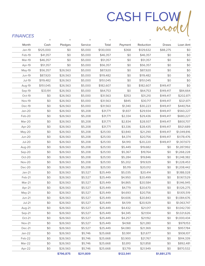# CASH FLOW

#### **FINANCES**

|               | $^{+}$    | $^{+}$    | $^{+}$    | $\quad \  \  =$ |           | $\qquad \qquad =$ |             | $\equiv$    |
|---------------|-----------|-----------|-----------|-----------------|-----------|-------------------|-------------|-------------|
| Month         | Cash      | Pledges   | Service   | Total           | Payment   | Reduction         | Draws       | Loan Amt    |
| Jan-19        | \$125,000 | \$0       | \$5,000   | \$130,000       | \$368     | \$129,632         | \$88,275    | \$0         |
| Feb-19        | \$41,357  | \$0       | \$5,000   | \$46,357        | \$0       | \$46,357          | \$0         | \$0         |
| Mar-19        | \$46,357  | \$0       | \$5,000   | \$51,357        | \$0       | \$51,357          | \$0         | \$0         |
| Apr-19        | \$51,357  | \$0       | \$5,000   | \$56,357        | \$0       | \$56,357          | \$0         | \$0         |
| May-19        | \$56,357  | \$26,563  | \$5,000   | \$87,920        | \$0       | \$87,920          | \$0         | \$0         |
| <b>Jun-19</b> | \$87,920  | \$26,563  | \$5,000   | \$119,482       | \$0       | \$119,482         | \$0         | \$0         |
| <b>Jul-19</b> | \$119,482 | \$26,563  | \$5,000   | \$151,045       | \$0       | \$151,045         | \$0         | \$0         |
| Aug-19        | \$151,045 | \$26,563  | \$5,000   | \$182,607       | \$0       | \$182,607         | \$149,417   | \$0         |
| Sep-19        | \$33,191  | \$26,563  | \$5,000   | \$64,753        | \$0       | \$64,753          | \$149,417   | \$84,664    |
| Oct-19        | \$0       | \$26,563  | \$5,000   | \$31,563        | \$353     | \$31,210          | \$149,417   | \$202,871   |
| <b>Nov-19</b> | \$0       | \$26,563  | \$5,000   | \$31,563        | \$845     | \$30,717          | \$149,417   | \$321,871   |
| Dec-19        | \$0       | \$26,563  | \$5,000   | \$31,563        | \$1,340   | \$30,223          | \$149,417   | \$440,764   |
| $Jan-20$      | \$0       | \$26,563  | \$5,208   | \$31,771        | \$1,837   | \$29,934          | \$149,417   | \$560,227   |
| Feb-20        | \$0       | \$26,563  | \$5,208   | \$31,771        | \$2,334   | \$29,436          | \$149,417   | \$680,227   |
| Mar-20        | \$0       | \$26,563  | \$5,208   | \$31,771        | \$2,834   | \$28,937          | \$149,417   | \$800,707   |
| Apr-20        | \$0       | \$26,563  | \$5,208   | \$31,771        | \$3,336   | \$28,435          | \$149,417   | \$921,689   |
| May-20        | \$0       | \$26,563  | \$5,208   | \$25,130        | \$3,840   | \$21,290          | \$149,417   | \$1,049,816 |
| Jun-20        | \$0       | \$26,563  | \$5,208   | \$25,130        | \$4,374   | \$20,756          | \$149,417   | \$1,178,476 |
| $Jul-20$      | \$0       | \$26,563  | \$5,208   | \$25,130        | \$4,910   | \$20,220          | \$149,417   | \$1,307,673 |
| Aug-20        | \$0       | \$26,563  | \$5,208   | \$25,130        | \$5,449   | \$19,682          | \$0         | \$1,287,992 |
| Sep-20        | \$0       | \$26,563  | \$5,208   | \$25,130        | \$5,367   | \$19,764          | \$0         | \$1,268,228 |
| Oct-20        | \$0       | \$26,563  | \$5,208   | \$25,130        | \$5,284   | \$19,846          | \$0         | \$1,248,382 |
| <b>Nov-20</b> | \$0       | \$26,563  | \$5,208   | \$25,130        | \$5,202   | \$19,929          | \$0         | \$1,228,453 |
| Dec-20        | \$0       | \$26,563  | \$5,208   | \$25,130        | \$5,119   | \$20,012          | \$0         | \$1,208,442 |
| $Jan-21$      | \$0       | \$26,563  | \$5,527   | \$25,449        | \$5,035   | \$20,414          | \$0         | \$1,188,028 |
| Feb-21        | \$0       | \$26,563  | \$5,527   | \$25,449        | \$4,950   | \$20,499          | \$0         | \$1,167,529 |
| Mar-21        | \$0       | \$26,563  | \$5,527   | \$25,449        | \$4,865   | \$20,584          | \$0         | \$1,146,945 |
| Apr-21        | \$0       | \$26,563  | \$5,527   | \$25,449        | \$4,779   | \$20,670          | \$0         | \$1,126,275 |
| May-21        | \$0       | \$26,563  | \$5,527   | \$25,449        | \$4,693   | \$20,756          | \$0         | \$1,105,519 |
| Jun-21        | \$0       | \$26,563  | \$5,527   | \$25,449        | \$4,606   | \$20,843          | \$0         | \$1,084,676 |
| $Jul-21$      | \$0       | \$26,563  | \$5,527   | \$25,449        | \$4,519   | \$20,929          | \$0         | \$1,063,747 |
| Aug-21        | \$0       | \$26,563  | \$5,527   | \$25,449        | \$4,432   | \$21,017          | \$0         | \$1,042,730 |
| Sep-21        | \$0       | \$26,563  | \$5,527   | \$25,449        | \$4,345   | \$21,104          | \$0         | \$1,021,626 |
| Oct-21        | \$0       | \$26,563  | \$5,527   | \$25,449        | \$4,257   | \$21,192          | \$0         | \$1,000,434 |
| <b>Nov-21</b> | \$0       | \$26,563  | \$5,527   | \$25,449        | \$4,168   | \$21,280          | \$0         | \$979,153   |
| Dec-21        | \$0       | \$26,563  | \$5,527   | \$25,449        | \$4,080   | \$21,369          | \$0         | \$957,784   |
| $Jan-22$      | \$0       | \$26,563  | \$5,746   | \$25,668        | \$3,991   | \$21,677          | \$0         | \$936,107   |
| Feb-22        | \$0       | \$26,563  | \$5,746   | \$25,668        | \$3,900   | \$21,767          | \$0         | \$914,339   |
| Mar-22        | \$0       | \$26,563  | \$5,746   | \$25,668        | \$3,810   | \$21,858          | \$0         | \$892,481   |
| Apr-22        | \$0       | \$26,563  | \$5,746   | \$25,668        | \$3,719   | \$21,949          | \$0         | \$870,532   |
|               |           | \$796,875 | \$211,809 |                 | \$122,941 |                   | \$1,881,275 |             |